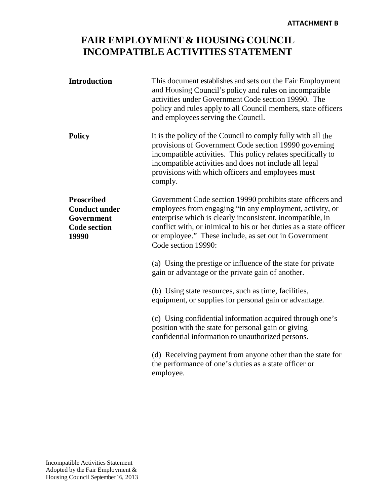## **FAIR EMPLOYMENT & HOUSING COUNCIL INCOMPATIBLE ACTIVITIES STATEMENT**

| <b>Introduction</b>                                                                     | This document establishes and sets out the Fair Employment<br>and Housing Council's policy and rules on incompatible<br>activities under Government Code section 19990. The<br>policy and rules apply to all Council members, state officers<br>and employees serving the Council.                                                         |
|-----------------------------------------------------------------------------------------|--------------------------------------------------------------------------------------------------------------------------------------------------------------------------------------------------------------------------------------------------------------------------------------------------------------------------------------------|
| <b>Policy</b>                                                                           | It is the policy of the Council to comply fully with all the<br>provisions of Government Code section 19990 governing<br>incompatible activities. This policy relates specifically to<br>incompatible activities and does not include all legal<br>provisions with which officers and employees must<br>comply.                            |
| <b>Proscribed</b><br><b>Conduct under</b><br>Government<br><b>Code section</b><br>19990 | Government Code section 19990 prohibits state officers and<br>employees from engaging "in any employment, activity, or<br>enterprise which is clearly inconsistent, incompatible, in<br>conflict with, or inimical to his or her duties as a state officer<br>or employee." These include, as set out in Government<br>Code section 19990: |
|                                                                                         | (a) Using the prestige or influence of the state for private<br>gain or advantage or the private gain of another.                                                                                                                                                                                                                          |
|                                                                                         | (b) Using state resources, such as time, facilities,<br>equipment, or supplies for personal gain or advantage.                                                                                                                                                                                                                             |
|                                                                                         | (c) Using confidential information acquired through one's<br>position with the state for personal gain or giving<br>confidential information to unauthorized persons.                                                                                                                                                                      |
|                                                                                         | (d) Receiving payment from anyone other than the state for<br>the performance of one's duties as a state officer or<br>employee.                                                                                                                                                                                                           |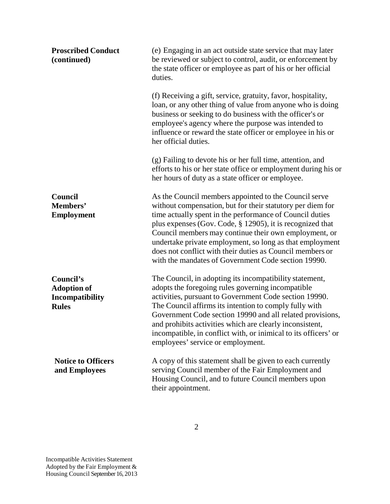| <b>Proscribed Conduct</b><br>(continued)                                  | (e) Engaging in an act outside state service that may later<br>be reviewed or subject to control, audit, or enforcement by<br>the state officer or employee as part of his or her official<br>duties.                                                                                                                                                                                                                                                                                    |
|---------------------------------------------------------------------------|------------------------------------------------------------------------------------------------------------------------------------------------------------------------------------------------------------------------------------------------------------------------------------------------------------------------------------------------------------------------------------------------------------------------------------------------------------------------------------------|
|                                                                           | (f) Receiving a gift, service, gratuity, favor, hospitality,<br>loan, or any other thing of value from anyone who is doing<br>business or seeking to do business with the officer's or<br>employee's agency where the purpose was intended to<br>influence or reward the state officer or employee in his or<br>her official duties.                                                                                                                                                     |
|                                                                           | (g) Failing to devote his or her full time, attention, and<br>efforts to his or her state office or employment during his or<br>her hours of duty as a state officer or employee.                                                                                                                                                                                                                                                                                                        |
| Council<br>Members'<br><b>Employment</b>                                  | As the Council members appointed to the Council serve<br>without compensation, but for their statutory per diem for<br>time actually spent in the performance of Council duties<br>plus expenses (Gov. Code, $\S$ 12905), it is recognized that<br>Council members may continue their own employment, or<br>undertake private employment, so long as that employment<br>does not conflict with their duties as Council members or<br>with the mandates of Government Code section 19990. |
| Council's<br><b>Adoption of</b><br><b>Incompatibility</b><br><b>Rules</b> | The Council, in adopting its incompatibility statement,<br>adopts the foregoing rules governing incompatible<br>activities, pursuant to Government Code section 19990.<br>The Council affirms its intention to comply fully with<br>Government Code section 19990 and all related provisions,<br>and prohibits activities which are clearly inconsistent,<br>incompatible, in conflict with, or inimical to its officers' or<br>employees' service or employment.                        |
| <b>Notice to Officers</b><br>and Employees                                | A copy of this statement shall be given to each currently<br>serving Council member of the Fair Employment and<br>Housing Council, and to future Council members upon<br>their appointment.                                                                                                                                                                                                                                                                                              |